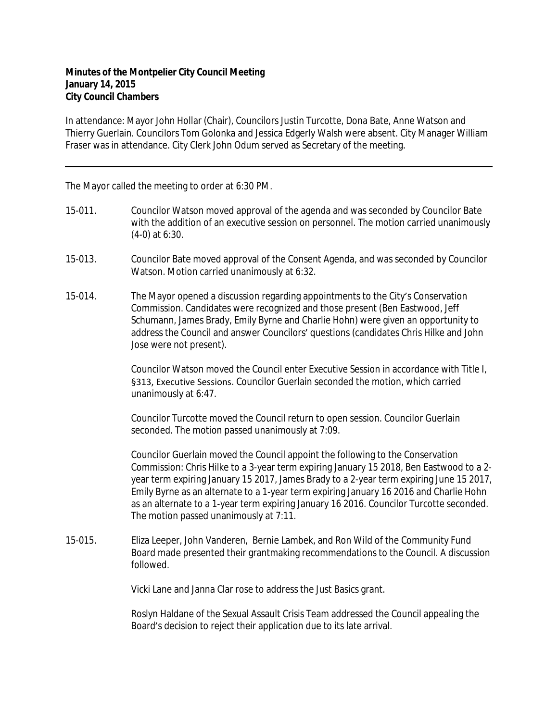## **Minutes of the Montpelier City Council Meeting January 14, 2015 City Council Chambers**

In attendance: Mayor John Hollar (Chair), Councilors Justin Turcotte, Dona Bate, Anne Watson and Thierry Guerlain. Councilors Tom Golonka and Jessica Edgerly Walsh were absent. City Manager William Fraser was in attendance. City Clerk John Odum served as Secretary of the meeting.

The Mayor called the meeting to order at 6:30 PM.

- 15-011. Councilor Watson moved approval of the agenda and was seconded by Councilor Bate with the addition of an executive session on personnel. The motion carried unanimously (4-0) at 6:30.
- 15-013. Councilor Bate moved approval of the Consent Agenda, and was seconded by Councilor Watson. Motion carried unanimously at 6:32.
- 15-014. The Mayor opened a discussion regarding appointments to the City's Conservation Commission. Candidates were recognized and those present (Ben Eastwood, Jeff Schumann, James Brady, Emily Byrne and Charlie Hohn) were given an opportunity to address the Council and answer Councilors' questions (candidates Chris Hilke and John Jose were not present).

Councilor Watson moved the Council enter Executive Session in accordance with Title I, §313, Executive Sessions. Councilor Guerlain seconded the motion, which carried unanimously at 6:47.

Councilor Turcotte moved the Council return to open session. Councilor Guerlain seconded. The motion passed unanimously at 7:09.

Councilor Guerlain moved the Council appoint the following to the Conservation Commission: Chris Hilke to a 3-year term expiring January 15 2018, Ben Eastwood to a 2 year term expiring January 15 2017, James Brady to a 2-year term expiring June 15 2017, Emily Byrne as an alternate to a 1-year term expiring January 16 2016 and Charlie Hohn as an alternate to a 1-year term expiring January 16 2016. Councilor Turcotte seconded. The motion passed unanimously at 7:11.

15-015. Eliza Leeper, John Vanderen, Bernie Lambek, and Ron Wild of the Community Fund Board made presented their grantmaking recommendations to the Council. A discussion followed.

Vicki Lane and Janna Clar rose to address the Just Basics grant.

Roslyn Haldane of the Sexual Assault Crisis Team addressed the Council appealing the Board's decision to reject their application due to its late arrival.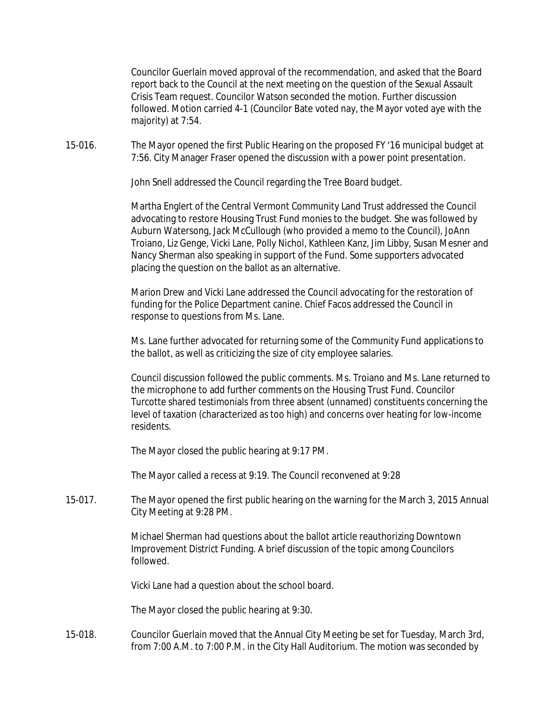Councilor Guerlain moved approval of the recommendation, and asked that the Board report back to the Council at the next meeting on the question of the Sexual Assault Crisis Team request. Councilor Watson seconded the motion. Further discussion followed. Motion carried 4-1 (Councilor Bate voted nay, the Mayor voted aye with the majority) at 7:54.

15-016. The Mayor opened the first Public Hearing on the proposed FY '16 municipal budget at 7:56. City Manager Fraser opened the discussion with a power point presentation.

John Snell addressed the Council regarding the Tree Board budget.

Martha Englert of the Central Vermont Community Land Trust addressed the Council advocating to restore Housing Trust Fund monies to the budget. She was followed by Auburn Watersong, Jack McCullough (who provided a memo to the Council), JoAnn Troiano, Liz Genge, Vicki Lane, Polly Nichol, Kathleen Kanz, Jim Libby, Susan Mesner and Nancy Sherman also speaking in support of the Fund. Some supporters advocated placing the question on the ballot as an alternative.

Marion Drew and Vicki Lane addressed the Council advocating for the restoration of funding for the Police Department canine. Chief Facos addressed the Council in response to questions from Ms. Lane.

Ms. Lane further advocated for returning some of the Community Fund applications to the ballot, as well as criticizing the size of city employee salaries.

Council discussion followed the public comments. Ms. Troiano and Ms. Lane returned to the microphone to add further comments on the Housing Trust Fund. Councilor Turcotte shared testimonials from three absent (unnamed) constituents concerning the level of taxation (characterized as too high) and concerns over heating for low-income residents.

The Mayor closed the public hearing at 9:17 PM.

The Mayor called a recess at 9:19. The Council reconvened at 9:28

15-017. The Mayor opened the first public hearing on the warning for the March 3, 2015 Annual City Meeting at 9:28 PM.

> Michael Sherman had questions about the ballot article reauthorizing Downtown Improvement District Funding. A brief discussion of the topic among Councilors followed.

Vicki Lane had a question about the school board.

The Mayor closed the public hearing at 9:30.

15-018. Councilor Guerlain moved that the Annual City Meeting be set for Tuesday, March 3rd, from 7:00 A.M. to 7:00 P.M. in the City Hall Auditorium. The motion was seconded by